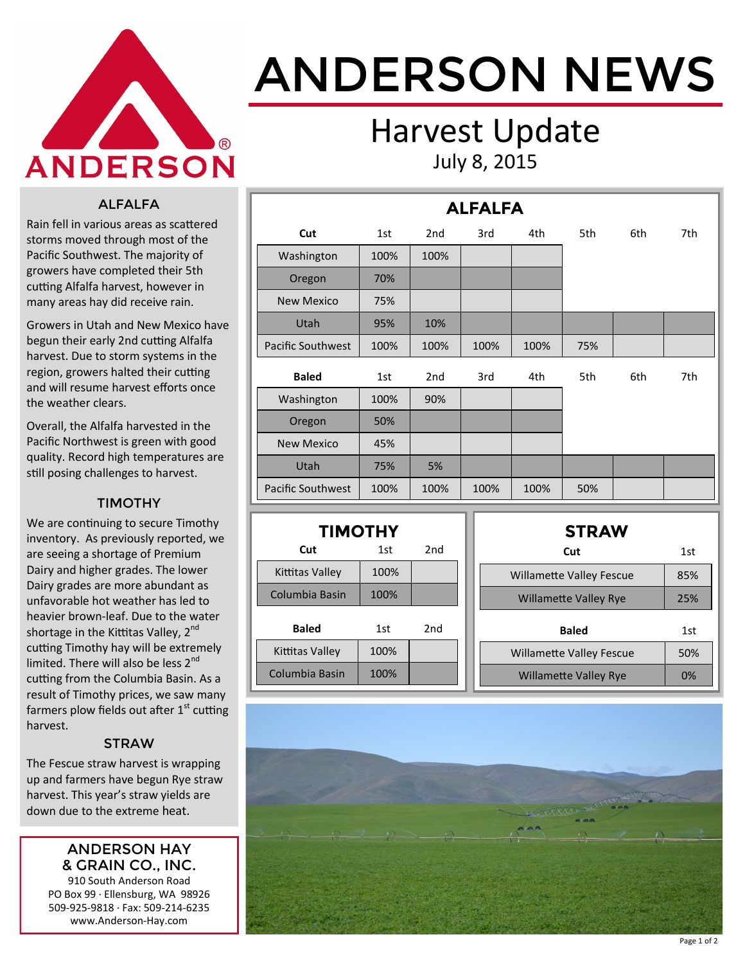

# ANDERSON NEWS

### Harvest Update July 8, 2015

#### ALFALFA

Rain fell in various areas as scattered storms moved through most of the Pacific Southwest. The majority of growers have completed their 5th cutting Alfalfa harvest, however in many areas hay did receive rain.

Growers in Utah and New Mexico have begun their early 2nd cutting Alfalfa harvest. Due to storm systems in the region, growers halted their cutting and will resume harvest efforts once the weather clears.

Overall, the Alfalfa harvested in the Pacific Northwest is green with good quality. Record high temperatures are still posing challenges to harvest.

#### TIMOTHY

We are continuing to secure Timothy inventory. As previously reported, we are seeing a shortage of Premium Dairy and higher grades. The lower Dairy grades are more abundant as unfavorable hot weather has led to heavier brown-leaf. Due to the water shortage in the Kittitas Valley, 2<sup>nd</sup> cutting Timothy hay will be extremely limited. There will also be less 2<sup>nd</sup> cutting from the Columbia Basin. As a result of Timothy prices, we saw many farmers plow fields out after  $1<sup>st</sup>$  cutting harvest.

#### **STRAW**

The Fescue straw harvest is wrapping up and farmers have begun Rye straw harvest. This year's straw yields are down due to the extreme heat.

#### ANDERSON HAY & GRAIN CO., INC.

910 South Anderson Road PO Box 99 · Ellensburg, WA 98926 509-925-9818 · Fax: 509-214-6235 www.Anderson-Hay.com

|                          | <b>ALFALFA</b> |                 |      |      |     |     |     |  |  |  |  |
|--------------------------|----------------|-----------------|------|------|-----|-----|-----|--|--|--|--|
| Cut                      | 1st            | 2 <sub>nd</sub> | 3rd  | 4th  | 5th | 6th | 7th |  |  |  |  |
| Washington               | 100%           | 100%            |      |      |     |     |     |  |  |  |  |
| Oregon                   | 70%            |                 |      |      |     |     |     |  |  |  |  |
| <b>New Mexico</b>        | 75%            |                 |      |      |     |     |     |  |  |  |  |
| Utah                     | 95%            | 10%             |      |      |     |     |     |  |  |  |  |
| <b>Pacific Southwest</b> | 100%           | 100%            | 100% | 100% | 75% |     |     |  |  |  |  |
| <b>Baled</b>             | 1st            | 2 <sub>nd</sub> | 3rd  | 4th  | 5th | 6th | 7th |  |  |  |  |
| Washington               | 100%           | 90%             |      |      |     |     |     |  |  |  |  |
| Oregon                   | 50%            |                 |      |      |     |     |     |  |  |  |  |
| <b>New Mexico</b>        | 45%            |                 |      |      |     |     |     |  |  |  |  |
| Utah                     | 75%            | 5%              |      |      |     |     |     |  |  |  |  |
| Pacific Southwest        | 100%           | 100%            | 100% | 100% | 50% |     |     |  |  |  |  |

| <b>TIMOTHY</b>  |            |     |  |  |  |  |  |  |  |  |
|-----------------|------------|-----|--|--|--|--|--|--|--|--|
| Cut             | 2nd<br>1st |     |  |  |  |  |  |  |  |  |
| Kittitas Valley | 100%       |     |  |  |  |  |  |  |  |  |
| Columbia Basin  | 100%       |     |  |  |  |  |  |  |  |  |
| <b>Baled</b>    | 1st        | 2nd |  |  |  |  |  |  |  |  |
| Kittitas Valley | 100%       |     |  |  |  |  |  |  |  |  |
| Columbia Basin  | 100%       |     |  |  |  |  |  |  |  |  |

| <b>STRAW</b>                    |     |
|---------------------------------|-----|
| Cut                             | 1st |
| <b>Willamette Valley Fescue</b> | 85% |
| <b>Willamette Valley Rye</b>    | 25% |
| <b>Baled</b>                    | 1st |
| <b>Willamette Valley Fescue</b> | 50% |
| <b>Willamette Valley Rye</b>    | 0%  |